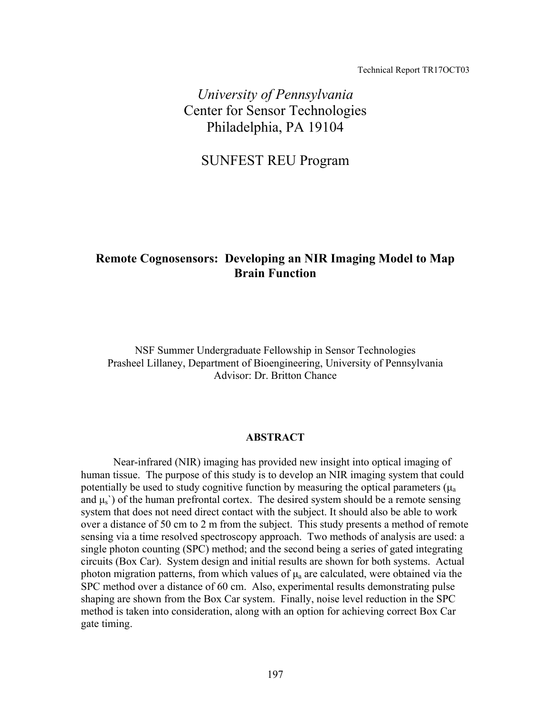Technical Report TR17OCT03

# *University of Pennsylvania*  Center for Sensor Technologies Philadelphia, PA 19104

# SUNFEST REU Program

## **Remote Cognosensors: Developing an NIR Imaging Model to Map Brain Function**

NSF Summer Undergraduate Fellowship in Sensor Technologies Prasheel Lillaney, Department of Bioengineering, University of Pennsylvania Advisor: Dr. Britton Chance

#### **ABSTRACT**

 Near-infrared (NIR) imaging has provided new insight into optical imaging of human tissue. The purpose of this study is to develop an NIR imaging system that could potentially be used to study cognitive function by measuring the optical parameters  $(\mu_a)$ and  $\mu_s$ ) of the human prefrontal cortex. The desired system should be a remote sensing system that does not need direct contact with the subject. It should also be able to work over a distance of 50 cm to 2 m from the subject. This study presents a method of remote sensing via a time resolved spectroscopy approach. Two methods of analysis are used: a single photon counting (SPC) method; and the second being a series of gated integrating circuits (Box Car). System design and initial results are shown for both systems. Actual photon migration patterns, from which values of  $\mu_a$  are calculated, were obtained via the SPC method over a distance of 60 cm. Also, experimental results demonstrating pulse shaping are shown from the Box Car system. Finally, noise level reduction in the SPC method is taken into consideration, along with an option for achieving correct Box Car gate timing.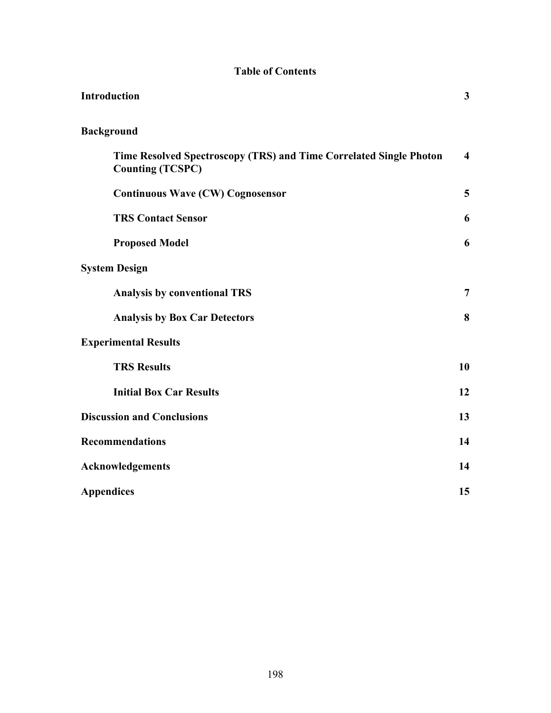## **Table of Contents**

| <b>Introduction</b>                                                                           | $\overline{\mathbf{3}}$ |
|-----------------------------------------------------------------------------------------------|-------------------------|
| <b>Background</b>                                                                             |                         |
| Time Resolved Spectroscopy (TRS) and Time Correlated Single Photon<br><b>Counting (TCSPC)</b> | $\overline{\mathbf{4}}$ |
| <b>Continuous Wave (CW) Cognosensor</b>                                                       | 5                       |
| <b>TRS Contact Sensor</b>                                                                     | 6                       |
| <b>Proposed Model</b>                                                                         | 6                       |
| <b>System Design</b>                                                                          |                         |
| <b>Analysis by conventional TRS</b>                                                           | $\overline{7}$          |
| <b>Analysis by Box Car Detectors</b>                                                          | 8                       |
| <b>Experimental Results</b>                                                                   |                         |
| <b>TRS Results</b>                                                                            | 10                      |
| <b>Initial Box Car Results</b>                                                                | 12                      |
| <b>Discussion and Conclusions</b>                                                             | 13                      |
| <b>Recommendations</b>                                                                        | 14                      |
| Acknowledgements                                                                              | 14                      |
| <b>Appendices</b>                                                                             | 15                      |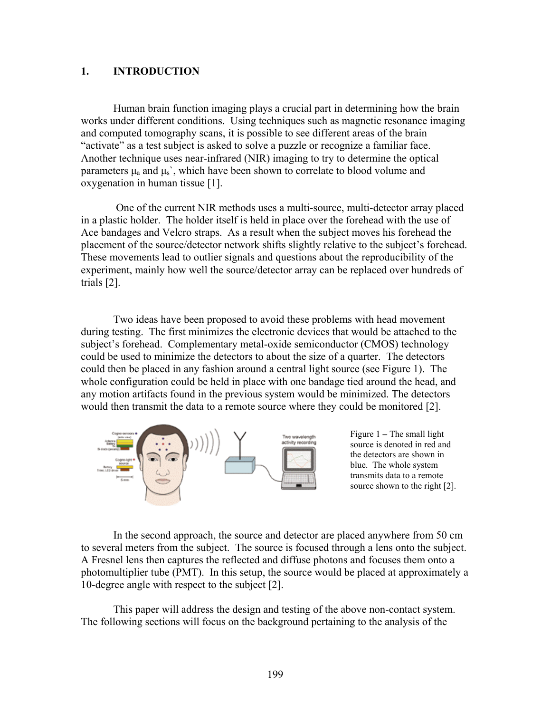## **1. INTRODUCTION**

Human brain function imaging plays a crucial part in determining how the brain works under different conditions. Using techniques such as magnetic resonance imaging and computed tomography scans, it is possible to see different areas of the brain "activate" as a test subject is asked to solve a puzzle or recognize a familiar face. Another technique uses near-infrared (NIR) imaging to try to determine the optical parameters  $\mu_a$  and  $\mu_s$ , which have been shown to correlate to blood volume and oxygenation in human tissue [1].

 One of the current NIR methods uses a multi-source, multi-detector array placed in a plastic holder. The holder itself is held in place over the forehead with the use of Ace bandages and Velcro straps. As a result when the subject moves his forehead the placement of the source/detector network shifts slightly relative to the subject's forehead. These movements lead to outlier signals and questions about the reproducibility of the experiment, mainly how well the source/detector array can be replaced over hundreds of trials [2].

Two ideas have been proposed to avoid these problems with head movement during testing. The first minimizes the electronic devices that would be attached to the subject's forehead. Complementary metal-oxide semiconductor (CMOS) technology could be used to minimize the detectors to about the size of a quarter. The detectors could then be placed in any fashion around a central light source (see Figure 1). The whole configuration could be held in place with one bandage tied around the head, and any motion artifacts found in the previous system would be minimized. The detectors would then transmit the data to a remote source where they could be monitored [2].



Figure 1 **–** The small light source is denoted in red and the detectors are shown in blue. The whole system transmits data to a remote source shown to the right [2].

In the second approach, the source and detector are placed anywhere from 50 cm to several meters from the subject. The source is focused through a lens onto the subject. A Fresnel lens then captures the reflected and diffuse photons and focuses them onto a photomultiplier tube (PMT). In this setup, the source would be placed at approximately a 10-degree angle with respect to the subject [2].

This paper will address the design and testing of the above non-contact system. The following sections will focus on the background pertaining to the analysis of the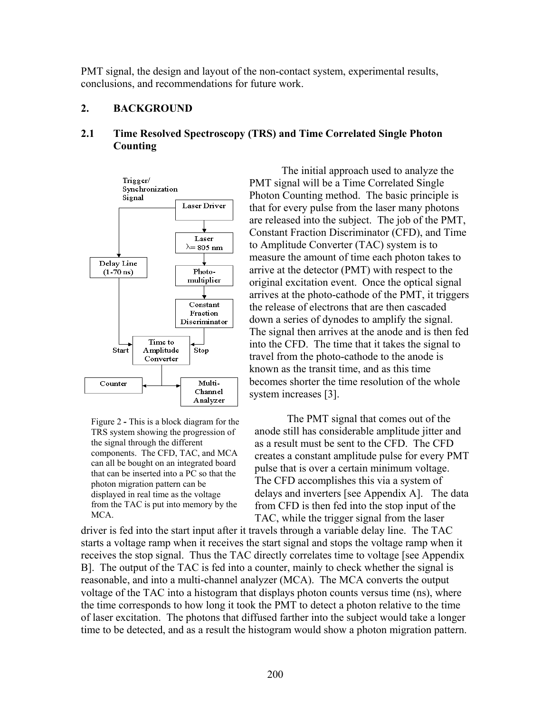PMT signal, the design and layout of the non-contact system, experimental results, conclusions, and recommendations for future work.

## **2. BACKGROUND**

## **2.1 Time Resolved Spectroscopy (TRS) and Time Correlated Single Photon Counting**



Figure 2 **-** This is a block diagram for the TRS system showing the progression of the signal through the different components. The CFD, TAC, and MCA can all be bought on an integrated board that can be inserted into a PC so that the photon migration pattern can be displayed in real time as the voltage from the TAC is put into memory by the MCA.

The initial approach used to analyze the PMT signal will be a Time Correlated Single Photon Counting method. The basic principle is that for every pulse from the laser many photons are released into the subject. The job of the PMT, Constant Fraction Discriminator (CFD), and Time to Amplitude Converter (TAC) system is to measure the amount of time each photon takes to arrive at the detector (PMT) with respect to the original excitation event. Once the optical signal arrives at the photo-cathode of the PMT, it triggers the release of electrons that are then cascaded down a series of dynodes to amplify the signal. The signal then arrives at the anode and is then fed into the CFD. The time that it takes the signal to travel from the photo-cathode to the anode is known as the transit time, and as this time becomes shorter the time resolution of the whole system increases [3].

The PMT signal that comes out of the anode still has considerable amplitude jitter and as a result must be sent to the CFD. The CFD creates a constant amplitude pulse for every PMT pulse that is over a certain minimum voltage. The CFD accomplishes this via a system of delays and inverters [see Appendix A]. The data from CFD is then fed into the stop input of the TAC, while the trigger signal from the laser

driver is fed into the start input after it travels through a variable delay line. The TAC starts a voltage ramp when it receives the start signal and stops the voltage ramp when it receives the stop signal. Thus the TAC directly correlates time to voltage [see Appendix B]. The output of the TAC is fed into a counter, mainly to check whether the signal is reasonable, and into a multi-channel analyzer (MCA). The MCA converts the output voltage of the TAC into a histogram that displays photon counts versus time (ns), where the time corresponds to how long it took the PMT to detect a photon relative to the time of laser excitation. The photons that diffused farther into the subject would take a longer time to be detected, and as a result the histogram would show a photon migration pattern.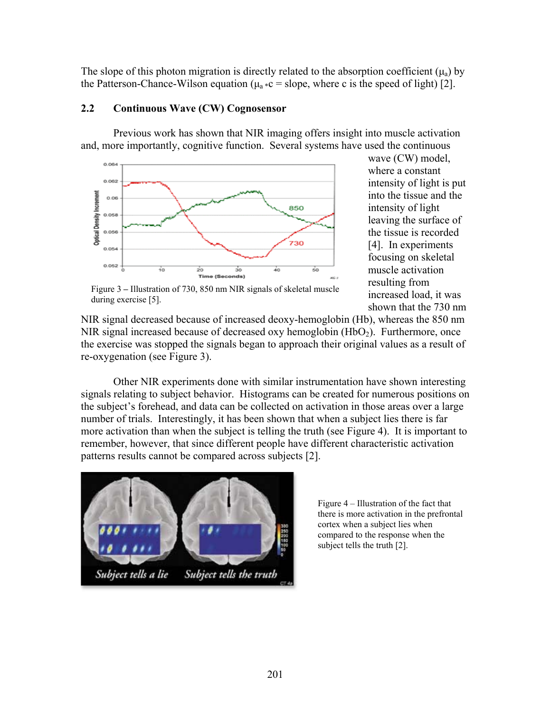The slope of this photon migration is directly related to the absorption coefficient  $(\mu_a)$  by the Patterson-Chance-Wilson equation ( $\mu_a * c$  = slope, where c is the speed of light) [2].

#### **2.2 Continuous Wave (CW) Cognosensor**

Previous work has shown that NIR imaging offers insight into muscle activation and, more importantly, cognitive function. Several systems have used the continuous



wave (CW) model, where a constant intensity of light is put into the tissue and the intensity of light leaving the surface of the tissue is recorded [4]. In experiments focusing on skeletal muscle activation resulting from increased load, it was shown that the 730 nm

Figure 3 **–** Illustration of 730, 850 nm NIR signals of skeletal muscle during exercise [5].

NIR signal decreased because of increased deoxy-hemoglobin (Hb), whereas the 850 nm NIR signal increased because of decreased oxy hemoglobin  $(HbO<sub>2</sub>)$ . Furthermore, once the exercise was stopped the signals began to approach their original values as a result of re-oxygenation (see Figure 3).

Other NIR experiments done with similar instrumentation have shown interesting signals relating to subject behavior. Histograms can be created for numerous positions on the subject's forehead, and data can be collected on activation in those areas over a large number of trials. Interestingly, it has been shown that when a subject lies there is far more activation than when the subject is telling the truth (see Figure 4). It is important to remember, however, that since different people have different characteristic activation patterns results cannot be compared across subjects [2].



Figure 4 – Illustration of the fact that there is more activation in the prefrontal cortex when a subject lies when compared to the response when the subject tells the truth [2].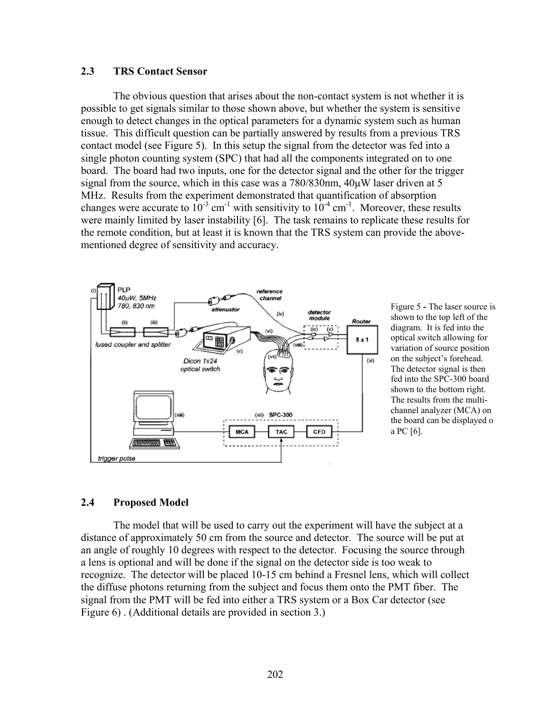#### **2.3 TRS Contact Sensor**

The obvious question that arises about the non-contact system is not whether it is possible to get signals similar to those shown above, but whether the system is sensitive enough to detect changes in the optical parameters for a dynamic system such as human tissue. This difficult question can be partially answered by results from a previous TRS contact model (see Figure 5). In this setup the signal from the detector was fed into a single photon counting system (SPC) that had all the components integrated on to one board. The board had two inputs, one for the detector signal and the other for the trigger signal from the source, which in this case was a 780/830nm, 40µW laser driven at 5 MHz. Results from the experiment demonstrated that quantification of absorption changes were accurate to  $10^{-3}$  cm<sup>-1</sup> with sensitivity to  $10^{-4}$  cm<sup>-1</sup>. Moreover, these results were mainly limited by laser instability [6]. The task remains to replicate these results for the remote condition, but at least it is known that the TRS system can provide the abovementioned degree of sensitivity and accuracy.



Figure 5 **-** The laser source is shown to the top left of the diagram. It is fed into the optical switch allowing for variation of source position on the subject's forehead. The detector signal is then fed into the SPC-300 board shown to the bottom right. The results from the multichannel analyzer (MCA) on the board can be displayed o a PC [6].

#### **2.4 Proposed Model**

The model that will be used to carry out the experiment will have the subject at a distance of approximately 50 cm from the source and detector. The source will be put at an angle of roughly 10 degrees with respect to the detector. Focusing the source through a lens is optional and will be done if the signal on the detector side is too weak to recognize. The detector will be placed 10-15 cm behind a Fresnel lens, which will collect the diffuse photons returning from the subject and focus them onto the PMT fiber. The signal from the PMT will be fed into either a TRS system or a Box Car detector (see Figure 6) . (Additional details are provided in section 3.)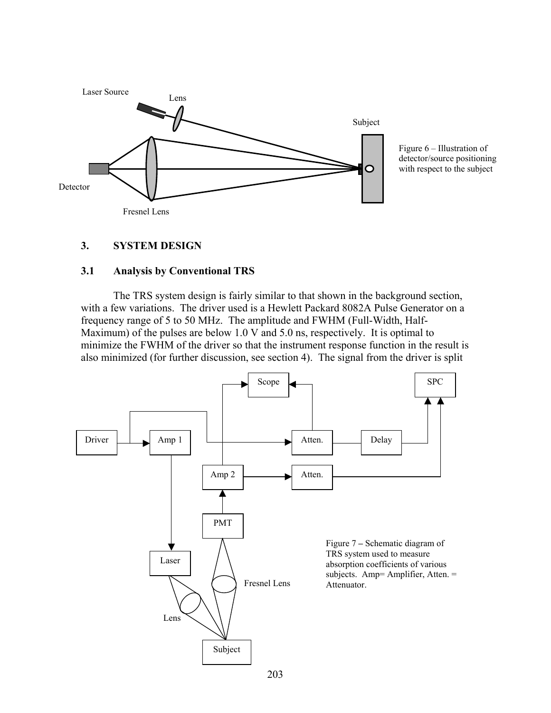

Figure 6 – Illustration of detector/source positioning with respect to the subject

#### **3. SYSTEM DESIGN**

#### **3.1 Analysis by Conventional TRS**

The TRS system design is fairly similar to that shown in the background section, with a few variations. The driver used is a Hewlett Packard 8082A Pulse Generator on a frequency range of 5 to 50 MHz. The amplitude and FWHM (Full-Width, Half-Maximum) of the pulses are below 1.0 V and 5.0 ns, respectively. It is optimal to minimize the FWHM of the driver so that the instrument response function in the result is also minimized (for further discussion, see section 4). The signal from the driver is split

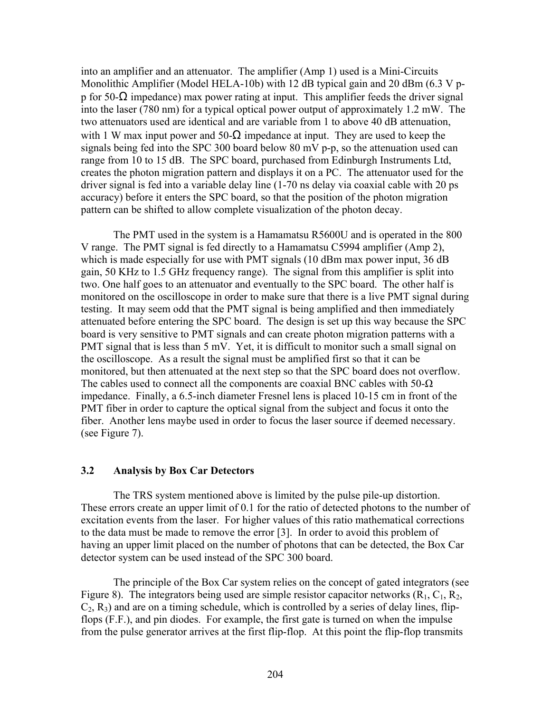into an amplifier and an attenuator. The amplifier (Amp 1) used is a Mini-Circuits Monolithic Amplifier (Model HELA-10b) with 12 dB typical gain and 20 dBm (6.3 V pp for 50- $\Omega$  impedance) max power rating at input. This amplifier feeds the driver signal into the laser (780 nm) for a typical optical power output of approximately 1.2 mW. The two attenuators used are identical and are variable from 1 to above 40 dB attenuation, with 1 W max input power and 50- $\Omega$  impedance at input. They are used to keep the signals being fed into the SPC 300 board below 80 mV p-p, so the attenuation used can range from 10 to 15 dB. The SPC board, purchased from Edinburgh Instruments Ltd, creates the photon migration pattern and displays it on a PC. The attenuator used for the driver signal is fed into a variable delay line (1-70 ns delay via coaxial cable with 20 ps accuracy) before it enters the SPC board, so that the position of the photon migration pattern can be shifted to allow complete visualization of the photon decay.

The PMT used in the system is a Hamamatsu R5600U and is operated in the 800 V range. The PMT signal is fed directly to a Hamamatsu C5994 amplifier (Amp 2), which is made especially for use with PMT signals (10 dBm max power input, 36 dB) gain, 50 KHz to 1.5 GHz frequency range). The signal from this amplifier is split into two. One half goes to an attenuator and eventually to the SPC board. The other half is monitored on the oscilloscope in order to make sure that there is a live PMT signal during testing. It may seem odd that the PMT signal is being amplified and then immediately attenuated before entering the SPC board. The design is set up this way because the SPC board is very sensitive to PMT signals and can create photon migration patterns with a PMT signal that is less than 5 mV. Yet, it is difficult to monitor such a small signal on the oscilloscope. As a result the signal must be amplified first so that it can be monitored, but then attenuated at the next step so that the SPC board does not overflow. The cables used to connect all the components are coaxial BNC cables with  $50-\Omega$ impedance. Finally, a 6.5-inch diameter Fresnel lens is placed 10-15 cm in front of the PMT fiber in order to capture the optical signal from the subject and focus it onto the fiber. Another lens maybe used in order to focus the laser source if deemed necessary. (see Figure 7).

#### **3.2 Analysis by Box Car Detectors**

The TRS system mentioned above is limited by the pulse pile-up distortion. These errors create an upper limit of 0.1 for the ratio of detected photons to the number of excitation events from the laser. For higher values of this ratio mathematical corrections to the data must be made to remove the error [3]. In order to avoid this problem of having an upper limit placed on the number of photons that can be detected, the Box Car detector system can be used instead of the SPC 300 board.

The principle of the Box Car system relies on the concept of gated integrators (see Figure 8). The integrators being used are simple resistor capacitor networks  $(R_1, C_1, R_2, R_3)$  $C_2$ ,  $R_3$ ) and are on a timing schedule, which is controlled by a series of delay lines, flipflops (F.F.), and pin diodes. For example, the first gate is turned on when the impulse from the pulse generator arrives at the first flip-flop. At this point the flip-flop transmits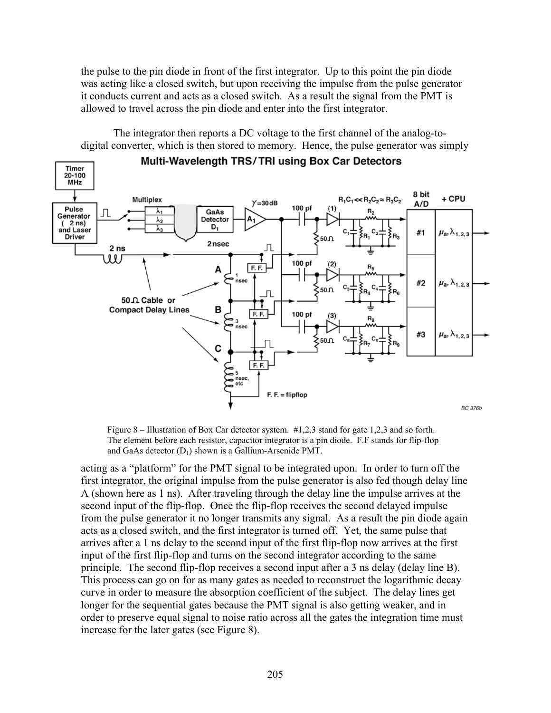the pulse to the pin diode in front of the first integrator. Up to this point the pin diode was acting like a closed switch, but upon receiving the impulse from the pulse generator it conducts current and acts as a closed switch. As a result the signal from the PMT is allowed to travel across the pin diode and enter into the first integrator.

Multi-Wavelength TRS/TRI using Box Car Detectors Timer 20-100 **MHz** 8 bit + CPU  $R_1C_1 \ll R_2C_2 \approx R_3C_2$ Multiplex  $Y = 30dB$ A/D 100 pf Pulse GaAs Generator Detector  $\lambda_2$ (2 ns)<br>and Laser  $D_1$  $\mu_{\mathsf{a}}, \lambda_{\mathsf{1,2,3}}$ #1 **Driver** 2nsec л  $2<sub>ns</sub>$ 1 I I J 100 pf F.F. A nsec  $\mu_{\mathsf{a}}, \lambda_{\mathsf{1,2,3}}$ #2 П 50 ft Cable or B **Compact Delay Lines**  $F.F.$ 100 pf nsec  $\mu_\mathsf{a}, \lambda_\mathsf{1,\,2,\,3}$ #3  $50<sub>0</sub>$ C F.F. etc  $F. F. = flipflop$ **BC 376b** 

The integrator then reports a DC voltage to the first channel of the analog-todigital converter, which is then stored to memory. Hence, the pulse generator was simply

Figure 8 – Illustration of Box Car detector system.  $\#1,2,3$  stand for gate 1,2,3 and so forth. The element before each resistor, capacitor integrator is a pin diode. F.F stands for flip-flop and GaAs detector  $(D_1)$  shown is a Gallium-Arsenide PMT.

acting as a "platform" for the PMT signal to be integrated upon. In order to turn off the first integrator, the original impulse from the pulse generator is also fed though delay line A (shown here as 1 ns). After traveling through the delay line the impulse arrives at the second input of the flip-flop. Once the flip-flop receives the second delayed impulse from the pulse generator it no longer transmits any signal. As a result the pin diode again acts as a closed switch, and the first integrator is turned off. Yet, the same pulse that arrives after a 1 ns delay to the second input of the first flip-flop now arrives at the first input of the first flip-flop and turns on the second integrator according to the same principle. The second flip-flop receives a second input after a 3 ns delay (delay line B). This process can go on for as many gates as needed to reconstruct the logarithmic decay curve in order to measure the absorption coefficient of the subject. The delay lines get longer for the sequential gates because the PMT signal is also getting weaker, and in order to preserve equal signal to noise ratio across all the gates the integration time must increase for the later gates (see Figure 8).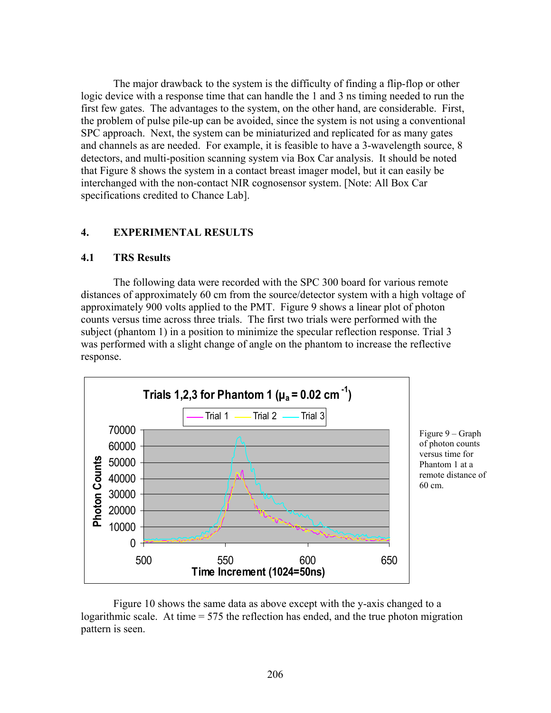The major drawback to the system is the difficulty of finding a flip-flop or other logic device with a response time that can handle the 1 and 3 ns timing needed to run the first few gates. The advantages to the system, on the other hand, are considerable. First, the problem of pulse pile-up can be avoided, since the system is not using a conventional SPC approach. Next, the system can be miniaturized and replicated for as many gates and channels as are needed. For example, it is feasible to have a 3-wavelength source, 8 detectors, and multi-position scanning system via Box Car analysis. It should be noted that Figure 8 shows the system in a contact breast imager model, but it can easily be interchanged with the non-contact NIR cognosensor system. [Note: All Box Car specifications credited to Chance Lab].

## **4. EXPERIMENTAL RESULTS**

#### **4.1 TRS Results**

The following data were recorded with the SPC 300 board for various remote distances of approximately 60 cm from the source/detector system with a high voltage of approximately 900 volts applied to the PMT. Figure 9 shows a linear plot of photon counts versus time across three trials. The first two trials were performed with the subject (phantom 1) in a position to minimize the specular reflection response. Trial 3 was performed with a slight change of angle on the phantom to increase the reflective response.



Figure 10 shows the same data as above except with the y-axis changed to a logarithmic scale. At time = 575 the reflection has ended, and the true photon migration pattern is seen.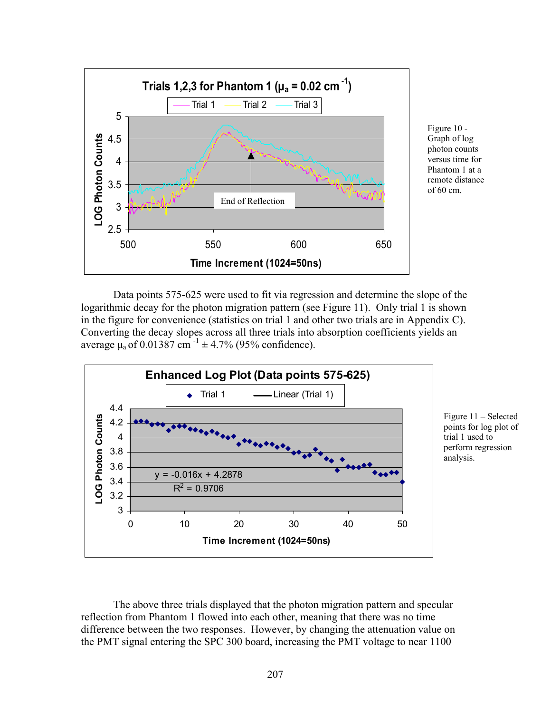

Figure 10 - Graph of log photon counts versus time for Phantom 1 at a remote distance of 60 cm.

Data points 575-625 were used to fit via regression and determine the slope of the logarithmic decay for the photon migration pattern (see Figure 11). Only trial 1 is shown in the figure for convenience (statistics on trial 1 and other two trials are in Appendix C). Converting the decay slopes across all three trials into absorption coefficients yields an average  $\mu_a$  of 0.01387 cm<sup>-1</sup>  $\pm$  4.7% (95% confidence).



The above three trials displayed that the photon migration pattern and specular reflection from Phantom 1 flowed into each other, meaning that there was no time difference between the two responses. However, by changing the attenuation value on the PMT signal entering the SPC 300 board, increasing the PMT voltage to near 1100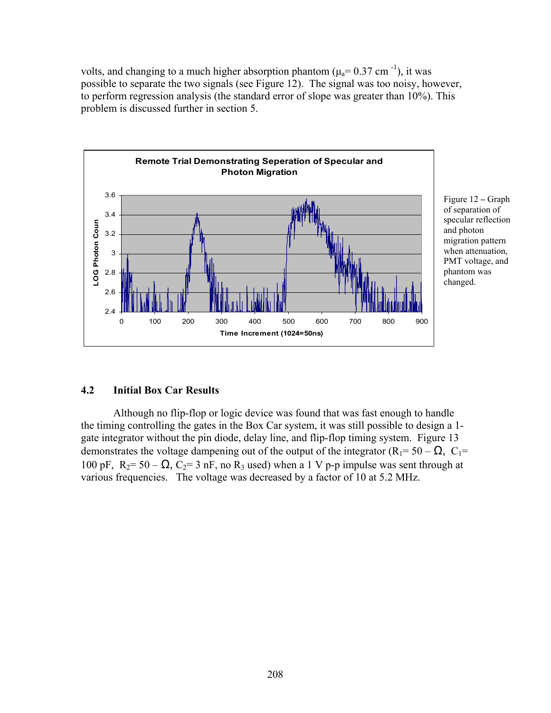volts, and changing to a much higher absorption phantom ( $\mu_a$ = 0.37 cm<sup>-1</sup>), it was possible to separate the two signals (see Figure 12). The signal was too noisy, however, to perform regression analysis (the standard error of slope was greater than 10%). This problem is discussed further in section 5.



Figure 12 **–** Graph of separation of specular reflection and photon migration pattern when attenuation, PMT voltage, and phantom was changed.

#### **4.2 Initial Box Car Results**

Although no flip-flop or logic device was found that was fast enough to handle the timing controlling the gates in the Box Car system, it was still possible to design a 1 gate integrator without the pin diode, delay line, and flip-flop timing system. Figure 13 demonstrates the voltage dampening out of the output of the integrator (R<sub>1</sub>= 50 –  $\Omega$ , C<sub>1</sub>= 100 pF,  $R_2 = 50 - \Omega$ ,  $C_2 = 3$  nF, no R<sub>3</sub> used) when a 1 V p-p impulse was sent through at various frequencies. The voltage was decreased by a factor of 10 at 5.2 MHz.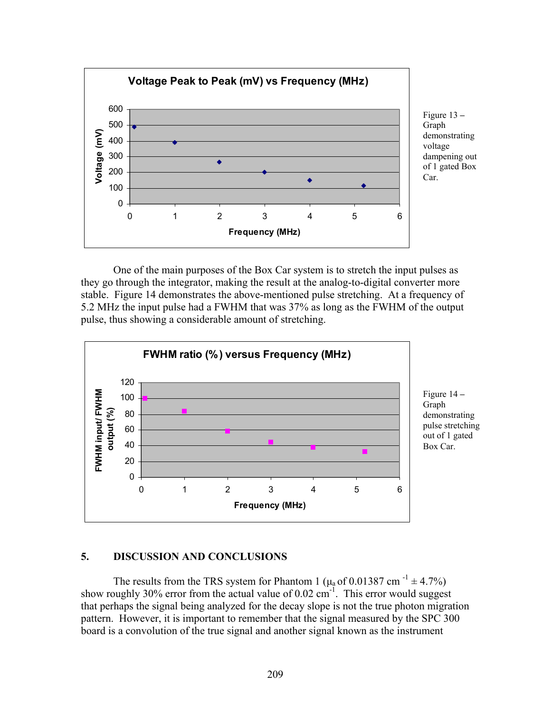

Figure 13 **–**  Graph demonstrating voltage dampening out of 1 gated Box

One of the main purposes of the Box Car system is to stretch the input pulses as they go through the integrator, making the result at the analog-to-digital converter more stable. Figure 14 demonstrates the above-mentioned pulse stretching. At a frequency of 5.2 MHz the input pulse had a FWHM that was 37% as long as the FWHM of the output pulse, thus showing a considerable amount of stretching.



#### **5. DISCUSSION AND CONCLUSIONS**

The results from the TRS system for Phantom 1 ( $\mu_a$  of 0.01387 cm<sup>-1</sup>  $\pm$  4.7%) show roughly 30% error from the actual value of  $0.02 \text{ cm}^{-1}$ . This error would suggest that perhaps the signal being analyzed for the decay slope is not the true photon migration pattern. However, it is important to remember that the signal measured by the SPC 300 board is a convolution of the true signal and another signal known as the instrument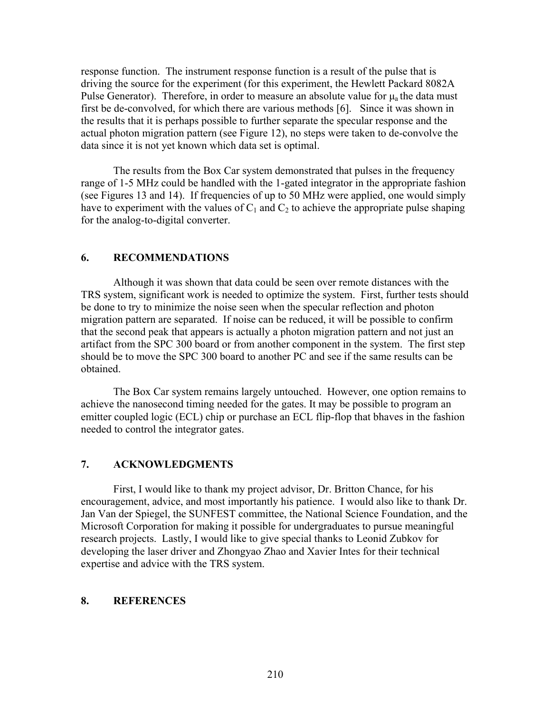response function. The instrument response function is a result of the pulse that is driving the source for the experiment (for this experiment, the Hewlett Packard 8082A Pulse Generator). Therefore, in order to measure an absolute value for  $\mu_a$  the data must first be de-convolved, for which there are various methods [6]. Since it was shown in the results that it is perhaps possible to further separate the specular response and the actual photon migration pattern (see Figure 12), no steps were taken to de-convolve the data since it is not yet known which data set is optimal.

The results from the Box Car system demonstrated that pulses in the frequency range of 1-5 MHz could be handled with the 1-gated integrator in the appropriate fashion (see Figures 13 and 14). If frequencies of up to 50 MHz were applied, one would simply have to experiment with the values of  $C_1$  and  $C_2$  to achieve the appropriate pulse shaping for the analog-to-digital converter.

### **6. RECOMMENDATIONS**

Although it was shown that data could be seen over remote distances with the TRS system, significant work is needed to optimize the system. First, further tests should be done to try to minimize the noise seen when the specular reflection and photon migration pattern are separated. If noise can be reduced, it will be possible to confirm that the second peak that appears is actually a photon migration pattern and not just an artifact from the SPC 300 board or from another component in the system. The first step should be to move the SPC 300 board to another PC and see if the same results can be obtained.

The Box Car system remains largely untouched. However, one option remains to achieve the nanosecond timing needed for the gates. It may be possible to program an emitter coupled logic (ECL) chip or purchase an ECL flip-flop that bhaves in the fashion needed to control the integrator gates.

#### **7. ACKNOWLEDGMENTS**

First, I would like to thank my project advisor, Dr. Britton Chance, for his encouragement, advice, and most importantly his patience. I would also like to thank Dr. Jan Van der Spiegel, the SUNFEST committee, the National Science Foundation, and the Microsoft Corporation for making it possible for undergraduates to pursue meaningful research projects. Lastly, I would like to give special thanks to Leonid Zubkov for developing the laser driver and Zhongyao Zhao and Xavier Intes for their technical expertise and advice with the TRS system.

## **8. REFERENCES**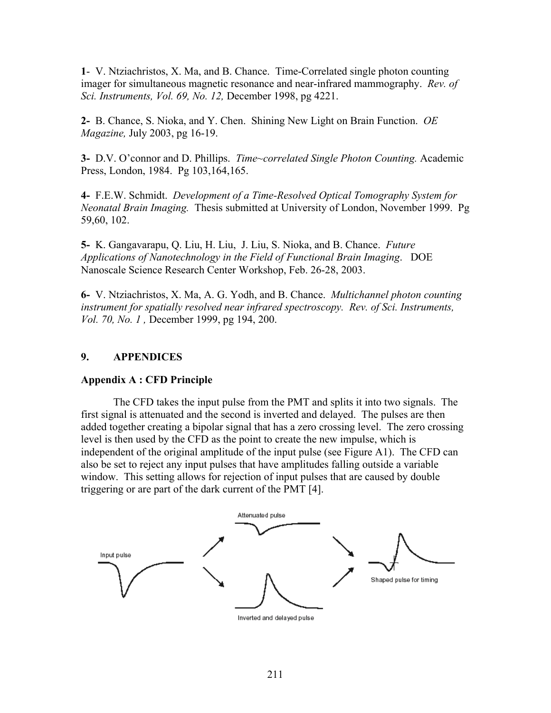**1**- V. Ntziachristos, X. Ma, and B. Chance. Time-Correlated single photon counting imager for simultaneous magnetic resonance and near-infrared mammography. *Rev. of Sci. Instruments, Vol. 69, No. 12,* December 1998, pg 4221.

**2-** B. Chance, S. Nioka, and Y. Chen. Shining New Light on Brain Function. *OE Magazine,* July 2003, pg 16-19.

**3-** D.V. O'connor and D. Phillips. *Time~correlated Single Photon Counting.* Academic Press, London, 1984. Pg 103,164,165.

**4-** F.E.W. Schmidt. *Development of a Time-Resolved Optical Tomography System for Neonatal Brain Imaging.* Thesis submitted at University of London, November 1999. Pg 59,60, 102.

**5-** K. Gangavarapu, Q. Liu, H. Liu, J. Liu, S. Nioka, and B. Chance. *Future Applications of Nanotechnology in the Field of Functional Brain Imaging*. DOE Nanoscale Science Research Center Workshop, Feb. 26-28, 2003.

**6-** V. Ntziachristos, X. Ma, A. G. Yodh, and B. Chance. *Multichannel photon counting instrument for spatially resolved near infrared spectroscopy. Rev. of Sci. Instruments, Vol. 70, No. 1 ,* December 1999, pg 194, 200.

## **9. APPENDICES**

#### **Appendix A : CFD Principle**

The CFD takes the input pulse from the PMT and splits it into two signals. The first signal is attenuated and the second is inverted and delayed. The pulses are then added together creating a bipolar signal that has a zero crossing level. The zero crossing level is then used by the CFD as the point to create the new impulse, which is independent of the original amplitude of the input pulse (see Figure A1). The CFD can also be set to reject any input pulses that have amplitudes falling outside a variable window. This setting allows for rejection of input pulses that are caused by double triggering or are part of the dark current of the PMT [4].

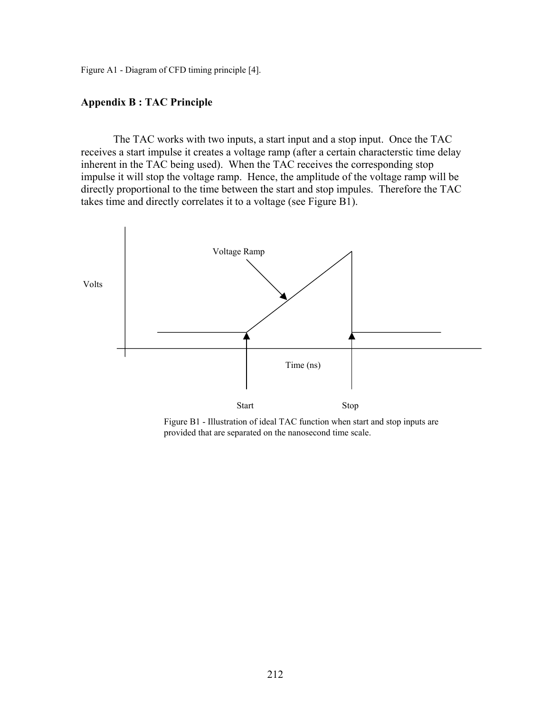Figure A1 - Diagram of CFD timing principle [4].

#### **Appendix B : TAC Principle**

The TAC works with two inputs, a start input and a stop input. Once the TAC receives a start impulse it creates a voltage ramp (after a certain characterstic time delay inherent in the TAC being used). When the TAC receives the corresponding stop impulse it will stop the voltage ramp. Hence, the amplitude of the voltage ramp will be directly proportional to the time between the start and stop impules. Therefore the TAC takes time and directly correlates it to a voltage (see Figure B1).



Figure B1 - Illustration of ideal TAC function when start and stop inputs are provided that are separated on the nanosecond time scale.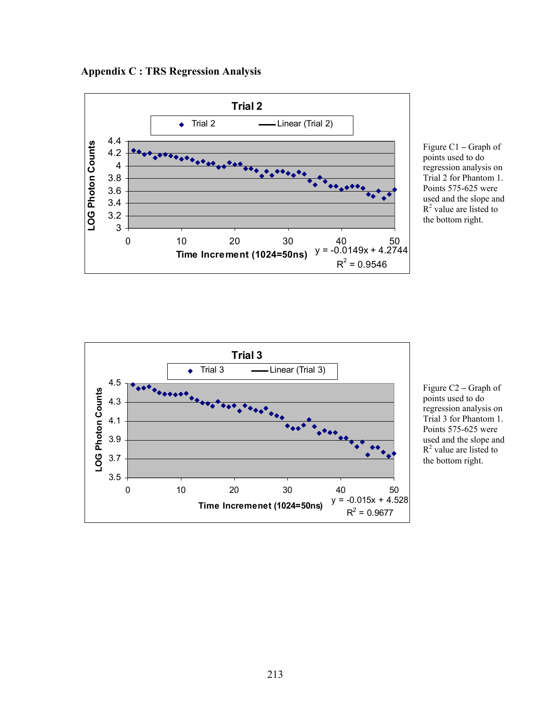**Appendix C : TRS Regression Analysis** 



Figure C1 **–** Graph of points used to do regression analysis on Trial 2 for Phantom 1. Points 575-625 were used and the slope and  $R<sup>2</sup>$  value are listed to the bottom right.